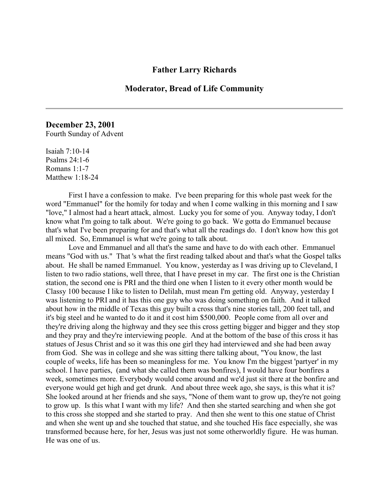## **Father Larry Richards**

## **Moderator, Bread of Life Community**

## **December 23, 2001**

Fourth Sunday of Advent

Isaiah 7:10-14 Psalms 24:1-6 Romans 1:1-7 Matthew 1:18-24

First I have a confession to make. I've been preparing for this whole past week for the word "Emmanuel" for the homily for today and when I come walking in this morning and I saw "love," I almost had a heart attack, almost. Lucky you for some of you. Anyway today, I don't know what I'm going to talk about. We're going to go back. We gotta do Emmanuel because that's what I've been preparing for and that's what all the readings do. I don't know how this got all mixed. So, Emmanuel is what we're going to talk about.

Love and Emmanuel and all that's the same and have to do with each other. Emmanuel means "God with us." That 's what the first reading talked about and that's what the Gospel talks about. He shall be named Emmanuel. You know, yesterday as I was driving up to Cleveland, I listen to two radio stations, well three, that I have preset in my car. The first one is the Christian station, the second one is PRI and the third one when I listen to it every other month would be Classy 100 because I like to listen to Delilah, must mean I'm getting old. Anyway, yesterday I was listening to PRI and it has this one guy who was doing something on faith. And it talked about how in the middle of Texas this guy built a cross that's nine stories tall, 200 feet tall, and it's big steel and he wanted to do it and it cost him \$500,000. People come from all over and they're driving along the highway and they see this cross getting bigger and bigger and they stop and they pray and they're interviewing people. And at the bottom of the base of this cross it has statues of Jesus Christ and so it was this one girl they had interviewed and she had been away from God. She was in college and she was sitting there talking about, "You know, the last couple of weeks, life has been so meaningless for me. You know I'm the biggest 'partyer' in my school. I have parties, (and what she called them was bonfires), I would have four bonfires a week, sometimes more. Everybody would come around and we'd just sit there at the bonfire and everyone would get high and get drunk. And about three week ago, she says, is this what it is? She looked around at her friends and she says, "None of them want to grow up, they're not going to grow up. Is this what I want with my life? And then she started searching and when she got to this cross she stopped and she started to pray. And then she went to this one statue of Christ and when she went up and she touched that statue, and she touched His face especially, she was transformed because here, for her, Jesus was just not some otherworldly figure. He was human. He was one of us.